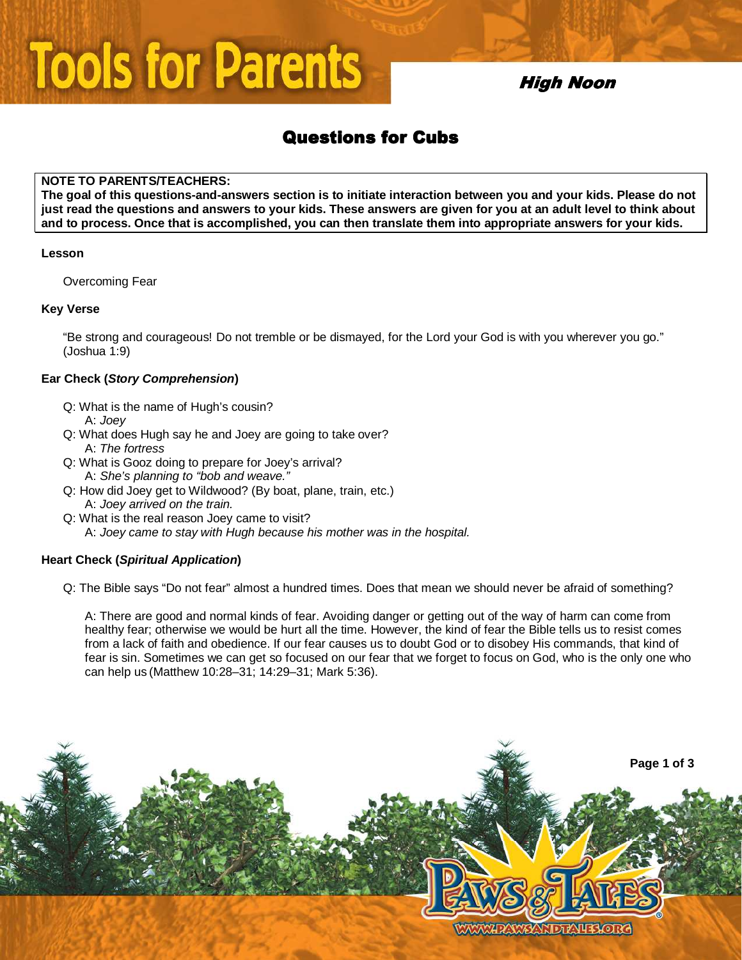# **Tools for Parents**

## **High Noon**

# **Questions for Cubs**

#### **NOTE TO PARENTS/TEACHERS:**

**The goal of this questions-and-answers section is to initiate interaction between you and your kids. Please do not just read the questions and answers to your kids. These answers are given for you at an adult level to think about and to process. Once that is accomplished, you can then translate them into appropriate answers for your kids.** 

#### **Lesson**

Overcoming Fear

#### **Key Verse**

"Be strong and courageous! Do not tremble or be dismayed, for the Lord your God is with you wherever you go." (Joshua 1:9)

### **Ear Check (Story Comprehension)**

- Q: What is the name of Hugh's cousin? A: Joey
- Q: What does Hugh say he and Joey are going to take over? A: The fortress
- Q: What is Gooz doing to prepare for Joey's arrival? A: She's planning to "bob and weave."
- Q: How did Joey get to Wildwood? (By boat, plane, train, etc.) A: Joey arrived on the train.
- Q: What is the real reason Joey came to visit? A: Joey came to stay with Hugh because his mother was in the hospital.

## **Heart Check (Spiritual Application)**

Q: The Bible says "Do not fear" almost a hundred times. Does that mean we should never be afraid of something?

A: There are good and normal kinds of fear. Avoiding danger or getting out of the way of harm can come from healthy fear; otherwise we would be hurt all the time. However, the kind of fear the Bible tells us to resist comes from a lack of faith and obedience. If our fear causes us to doubt God or to disobey His commands, that kind of fear is sin. Sometimes we can get so focused on our fear that we forget to focus on God, who is the only one who can help us (Matthew 10:28–31; 14:29–31; Mark 5:36).

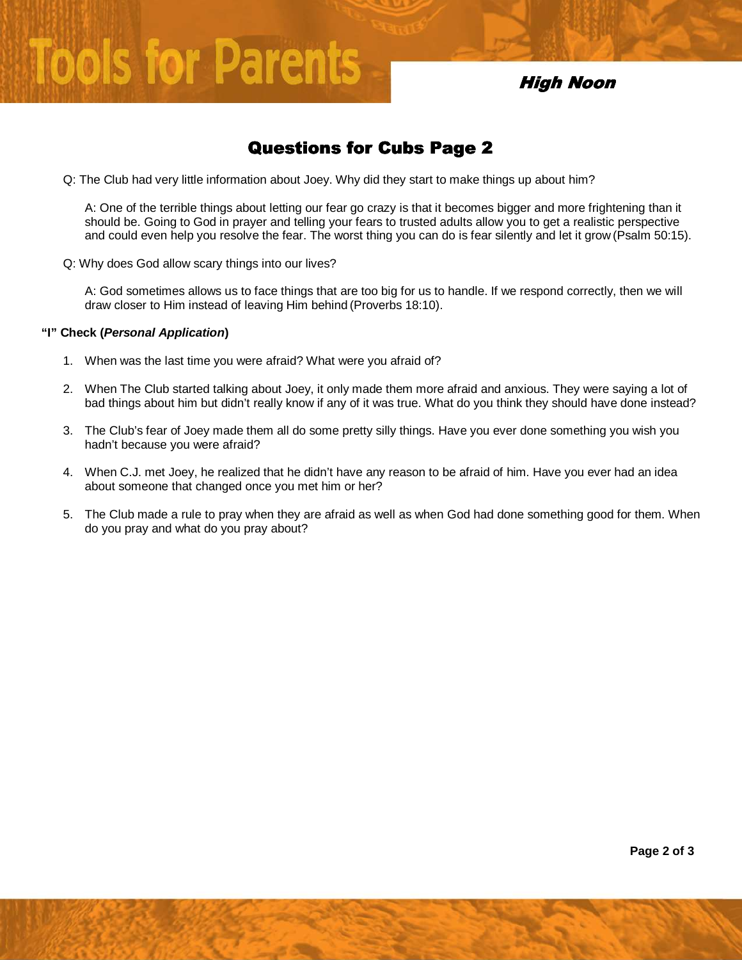## High Noon

## Questions for Cubs Page 2

Q: The Club had very little information about Joey. Why did they start to make things up about him?

A: One of the terrible things about letting our fear go crazy is that it becomes bigger and more frightening than it should be. Going to God in prayer and telling your fears to trusted adults allow you to get a realistic perspective and could even help you resolve the fear. The worst thing you can do is fear silently and let it grow (Psalm 50:15).

Q: Why does God allow scary things into our lives?

**Tools for Parents** 

A: God sometimes allows us to face things that are too big for us to handle. If we respond correctly, then we will draw closer to Him instead of leaving Him behind (Proverbs 18:10).

#### **"I" Check (Personal Application)**

- 1. When was the last time you were afraid? What were you afraid of?
- 2. When The Club started talking about Joey, it only made them more afraid and anxious. They were saying a lot of bad things about him but didn't really know if any of it was true. What do you think they should have done instead?
- 3. The Club's fear of Joey made them all do some pretty silly things. Have you ever done something you wish you hadn't because you were afraid?
- 4. When C.J. met Joey, he realized that he didn't have any reason to be afraid of him. Have you ever had an idea about someone that changed once you met him or her?
- 5. The Club made a rule to pray when they are afraid as well as when God had done something good for them. When do you pray and what do you pray about?